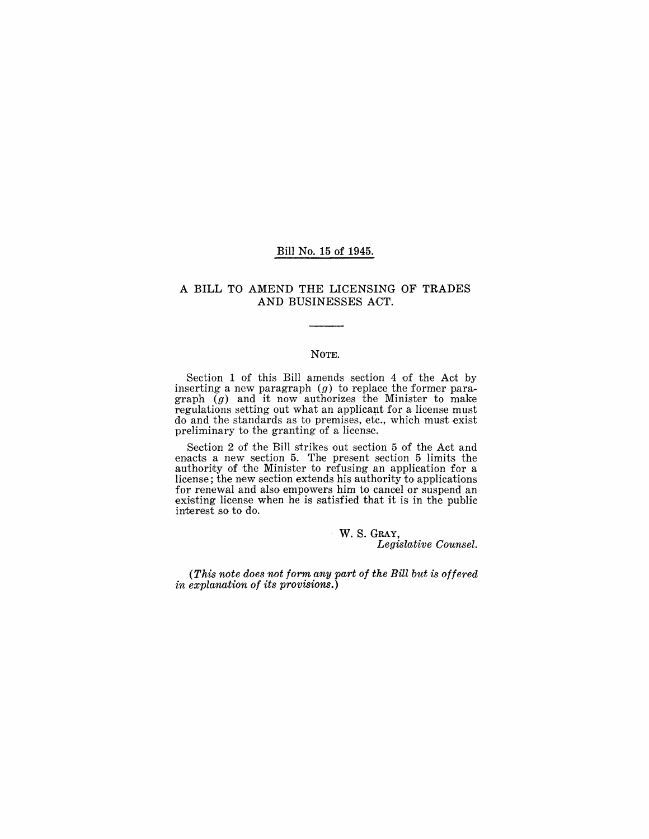#### Bill No. 15 of 1945.

#### A BILL TO AMEND THE LICENSING OF TRADES AND BUSINESSES ACT.

#### NOTE.

Section 1 of this Bill amends section 4 of the Act by inserting a new paragraph  $(g)$  to replace the former paragraph  $\bar{g}$  and it now authorizes the Minister to make regulations setting out what an applicant for a license must do and the standards as to premises, etc., which must exist preliminary to the granting of a license.

Section 2 of the Bill strikes out section 5 of the Act and enacts a new section 5. The present section 5 limits the authority of the Minister to refusing an application for a license; the new section extends his authority to applications for renewal and also empowers him to cancel or suspend an existing license when he is satisfied that it is in the public interest so to do.

> W. S. GRAY, *Legislative Counsel.*

*(This note does not form any part of the Bill but is offered in explanation of its provisions.)*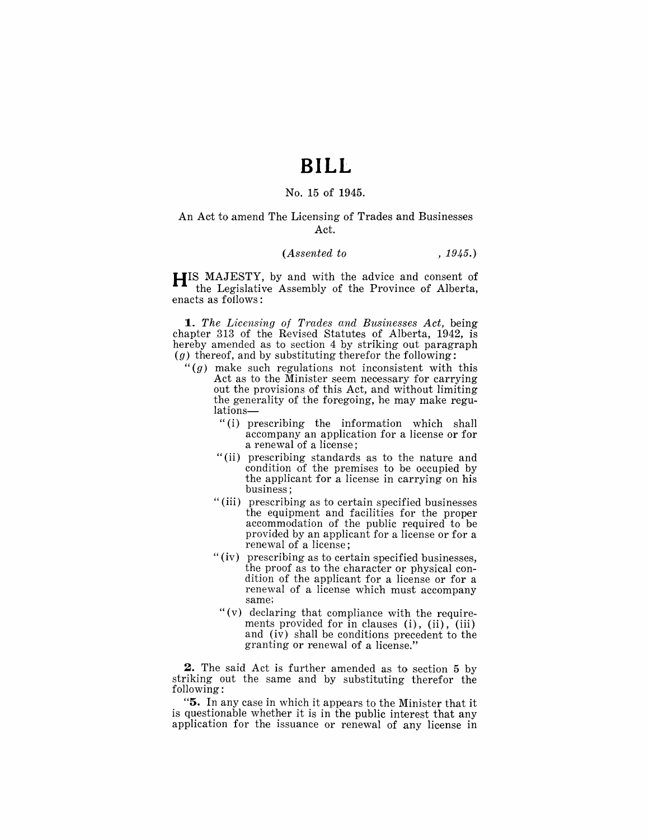## **BILL**

#### No. 15 of 1945.

#### An Act to amend The Licensing of Trades and Businesses Act.

#### *(Assented to* , 1945.)

**HIS** MAJESTY, by and with the advice and consent of the Legislative Assembly of the Province of Alberta, enacts as follows:

*1. The Licensing of Trades and Businesses Act,* being chapter 313 of the Revised Statutes of Alberta, 1942, is hereby amended as to section 4 by striking out paragraph  $(g)$  thereof, and by substituting therefor the following:

- " $(g)$  make such regulations not inconsistent with this Act as to the Minister seem necessary for carrying out the provisions of this Act, and without limiting the generality of the foregoing, he may make regulations-
	- "(i) prescribing the information which shall accompany an application for a license or for a renewal of a license;
	- "(ii) prescribing standards as to the nature and condition of the premises to be occupied by the applicant for a license in carrying on his business;
	- "(iii) prescribing as to certain specified businesses the equipment and facilities for the proper accommodation of the public required to be provided by an applicant for a license or for a renewal of a license;
	- "(iv) prescribing as to certain specified businesses, the proof as to the character or physical condition of the applicant for a license or for a renewal of a license which must accompany same;
	- " (v) declaring that compliance with the requirements provided for in clauses  $(i)$ ,  $(ii)$ ,  $(iii)$ and (iv) shall be conditions precedent to the granting or renewal of a license."

**2.** The said Act is further amended as to section 5 by striking out the same and by substituting therefor the following:

"5. In any case in which it appears to the Minister that it is questionable whether it is in the public interest that any application for the issuance or renewal of any license in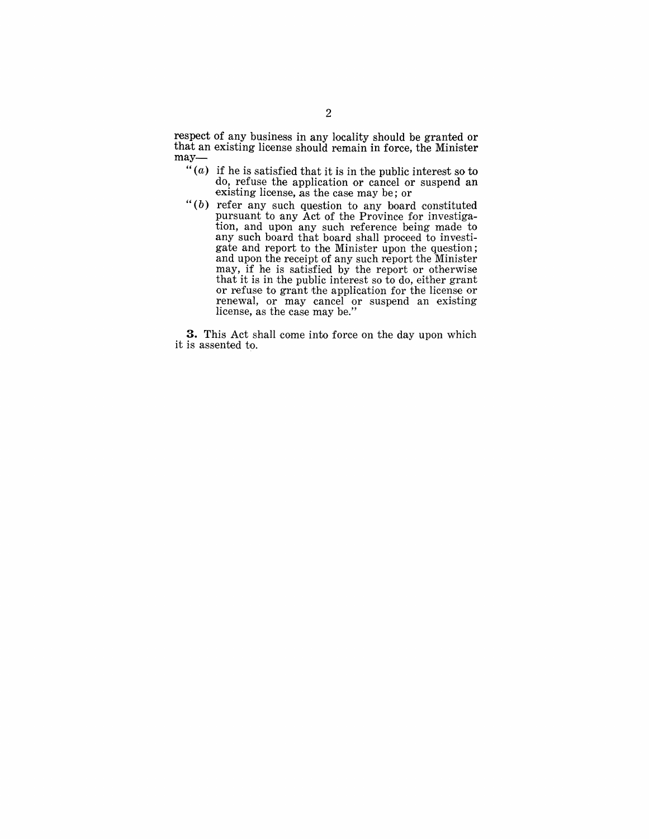respect of any business in any locality should be granted or that an existing license should remain in force, the Minister may-

- " $(a)$  if he is satisfied that it is in the public interest so to do, refuse the application or cancel or suspend an existing license, as the case may be; or
- " $(b)$  refer any such question to any board constituted pursuant to any Act of the Province for investigation, and upon any such reference being made to any such board that board shall proceed to investigate and report to the Minister upon the question; and upon the receipt of any such report the Minister may, if he is satisfied by the report or otherwise that it is in the public interest so to do, either grant or refuse to grant the application for the license or renewal, or may cancel or suspend an existing license, as the case may be."

**3.** This Act shall come into force on the day upon which it is assented to.